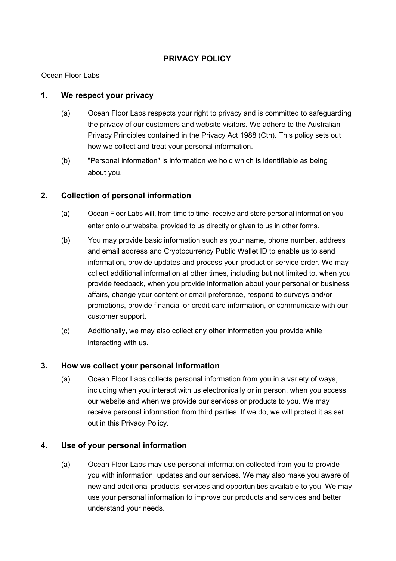## **PRIVACY POLICY**

Ocean Floor Labs

### **1. We respect your privacy**

- (a) Ocean Floor Labs respects your right to privacy and is committed to safeguarding the privacy of our customers and website visitors. We adhere to the Australian Privacy Principles contained in the Privacy Act 1988 (Cth). This policy sets out how we collect and treat your personal information.
- (b) "Personal information" is information we hold which is identifiable as being about you.

## **2. Collection of personal information**

- (a) Ocean Floor Labs will, from time to time, receive and store personal information you enter onto our website, provided to us directly or given to us in other forms.
- (b) You may provide basic information such as your name, phone number, address and email address and Cryptocurrency Public Wallet ID to enable us to send information, provide updates and process your product or service order. We may collect additional information at other times, including but not limited to, when you provide feedback, when you provide information about your personal or business affairs, change your content or email preference, respond to surveys and/or promotions, provide financial or credit card information, or communicate with our customer support.
- (c) Additionally, we may also collect any other information you provide while interacting with us.

### **3. How we collect your personal information**

(a) Ocean Floor Labs collects personal information from you in a variety of ways, including when you interact with us electronically or in person, when you access our website and when we provide our services or products to you. We may receive personal information from third parties. If we do, we will protect it as set out in this Privacy Policy.

### **4. Use of your personal information**

(a) Ocean Floor Labs may use personal information collected from you to provide you with information, updates and our services. We may also make you aware of new and additional products, services and opportunities available to you. We may use your personal information to improve our products and services and better understand your needs.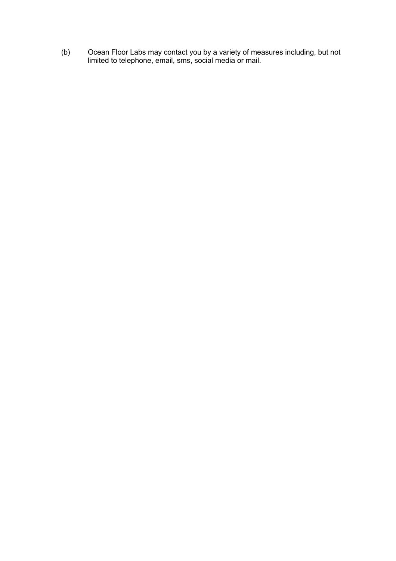(b) Ocean Floor Labs may contact you by a variety of measures including, but not limited to telephone, email, sms, social media or mail.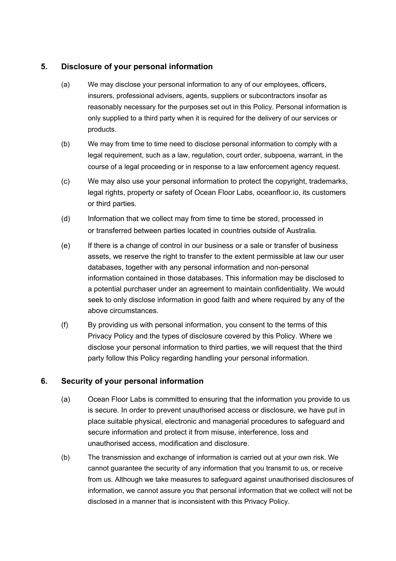## **5. Disclosure of your personal information**

- (a) We may disclose your personal information to any of our employees, officers, insurers, professional advisers, agents, suppliers or subcontractors insofar as reasonably necessary for the purposes set out in this Policy. Personal information is only supplied to a third party when it is required for the delivery of our services or products.
- (b) We may from time to time need to disclose personal information to comply with a legal requirement, such as a law, regulation, court order, subpoena, warrant, in the course of a legal proceeding or in response to a law enforcement agency request.
- (c) We may also use your personal information to protect the copyright, trademarks, legal rights, property or safety of Ocean Floor Labs, oceanfloor.io, its customers or third parties.
- (d) Information that we collect may from time to time be stored, processed in or transferred between parties located in countries outside of Australia.
- (e) If there is a change of control in our business or a sale or transfer of business assets, we reserve the right to transfer to the extent permissible at law our user databases, together with any personal information and non-personal information contained in those databases. This information may be disclosed to a potential purchaser under an agreement to maintain confidentiality. We would seek to only disclose information in good faith and where required by any of the above circumstances.
- (f) By providing us with personal information, you consent to the terms of this Privacy Policy and the types of disclosure covered by this Policy. Where we disclose your personal information to third parties, we will request that the third party follow this Policy regarding handling your personal information.

# **6. Security of your personal information**

- (a) Ocean Floor Labs is committed to ensuring that the information you provide to us is secure. In order to prevent unauthorised access or disclosure, we have put in place suitable physical, electronic and managerial procedures to safeguard and secure information and protect it from misuse, interference, loss and unauthorised access, modification and disclosure.
- (b) The transmission and exchange of information is carried out at your own risk. We cannot guarantee the security of any information that you transmit to us, or receive from us. Although we take measures to safeguard against unauthorised disclosures of information, we cannot assure you that personal information that we collect will not be disclosed in a manner that is inconsistent with this Privacy Policy.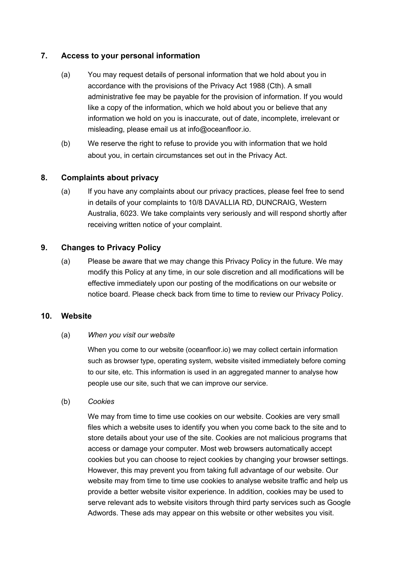## **7. Access to your personal information**

- (a) You may request details of personal information that we hold about you in accordance with the provisions of the Privacy Act 1988 (Cth). A small administrative fee may be payable for the provision of information. If you would like a copy of the information, which we hold about you or believe that any information we hold on you is inaccurate, out of date, incomplete, irrelevant or misleading, please email us at info@oceanfloor.io.
- (b) We reserve the right to refuse to provide you with information that we hold about you, in certain circumstances set out in the Privacy Act.

# **8. Complaints about privacy**

(a) If you have any complaints about our privacy practices, please feel free to send in details of your complaints to 10/8 DAVALLIA RD, DUNCRAIG, Western Australia, 6023. We take complaints very seriously and will respond shortly after receiving written notice of your complaint.

## **9. Changes to Privacy Policy**

(a) Please be aware that we may change this Privacy Policy in the future. We may modify this Policy at any time, in our sole discretion and all modifications will be effective immediately upon our posting of the modifications on our website or notice board. Please check back from time to time to review our Privacy Policy.

### **10. Website**

#### (a) *When you visit our website*

When you come to our website (oceanfloor.io) we may collect certain information such as browser type, operating system, website visited immediately before coming to our site, etc. This information is used in an aggregated manner to analyse how people use our site, such that we can improve our service.

#### (b) *Cookies*

We may from time to time use cookies on our website. Cookies are very small files which a website uses to identify you when you come back to the site and to store details about your use of the site. Cookies are not malicious programs that access or damage your computer. Most web browsers automatically accept cookies but you can choose to reject cookies by changing your browser settings. However, this may prevent you from taking full advantage of our website. Our website may from time to time use cookies to analyse website traffic and help us provide a better website visitor experience. In addition, cookies may be used to serve relevant ads to website visitors through third party services such as Google Adwords. These ads may appear on this website or other websites you visit.